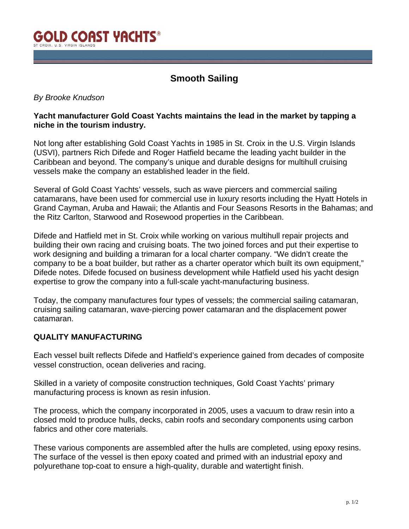

# **Smooth Sailing**

# *By Brooke Knudson*

# **Yacht manufacturer Gold Coast Yachts maintains the lead in the market by tapping a niche in the tourism industry.**

Not long after establishing Gold Coast Yachts in 1985 in St. Croix in the U.S. Virgin Islands (USVI), partners Rich Difede and Roger Hatfield became the leading yacht builder in the Caribbean and beyond. The company's unique and durable designs for multihull cruising vessels make the company an established leader in the field.

Several of Gold Coast Yachts' vessels, such as wave piercers and commercial sailing catamarans, have been used for commercial use in luxury resorts including the Hyatt Hotels in Grand Cayman, Aruba and Hawaii; the Atlantis and Four Seasons Resorts in the Bahamas; and the Ritz Carlton, Starwood and Rosewood properties in the Caribbean.

Difede and Hatfield met in St. Croix while working on various multihull repair projects and building their own racing and cruising boats. The two joined forces and put their expertise to work designing and building a trimaran for a local charter company. "We didn't create the company to be a boat builder, but rather as a charter operator which built its own equipment," Difede notes. Difede focused on business development while Hatfield used his yacht design expertise to grow the company into a full-scale yacht-manufacturing business.

Today, the company manufactures four types of vessels; the commercial sailing catamaran, cruising sailing catamaran, wave-piercing power catamaran and the displacement power catamaran.

#### **QUALITY MANUFACTURING**

Each vessel built reflects Difede and Hatfield's experience gained from decades of composite vessel construction, ocean deliveries and racing.

Skilled in a variety of composite construction techniques, Gold Coast Yachts' primary manufacturing process is known as resin infusion.

The process, which the company incorporated in 2005, uses a vacuum to draw resin into a closed mold to produce hulls, decks, cabin roofs and secondary components using carbon fabrics and other core materials.

These various components are assembled after the hulls are completed, using epoxy resins. The surface of the vessel is then epoxy coated and primed with an industrial epoxy and polyurethane top-coat to ensure a high-quality, durable and watertight finish.